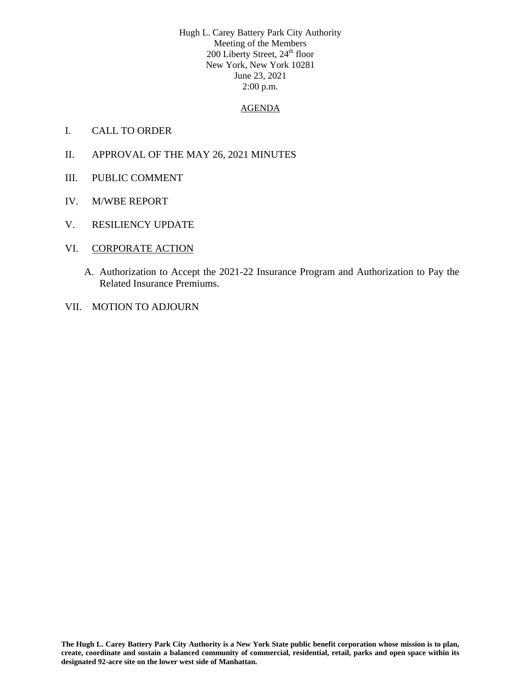Hugh L. Carey Battery Park City Authority Meeting of the Members 200 Liberty Street, 24<sup>th</sup> floor New York, New York 10281 June 23, 2021 2:00 p.m.

## AGENDA

- I. CALL TO ORDER
- II. APPROVAL OF THE MAY 26, 2021 MINUTES
- III. PUBLIC COMMENT
- IV. M/WBE REPORT
- V. RESILIENCY UPDATE
- VI. CORPORATE ACTION
	- A. Authorization to Accept the 2021-22 Insurance Program and Authorization to Pay the Related Insurance Premiums.
- VII. MOTION TO ADJOURN